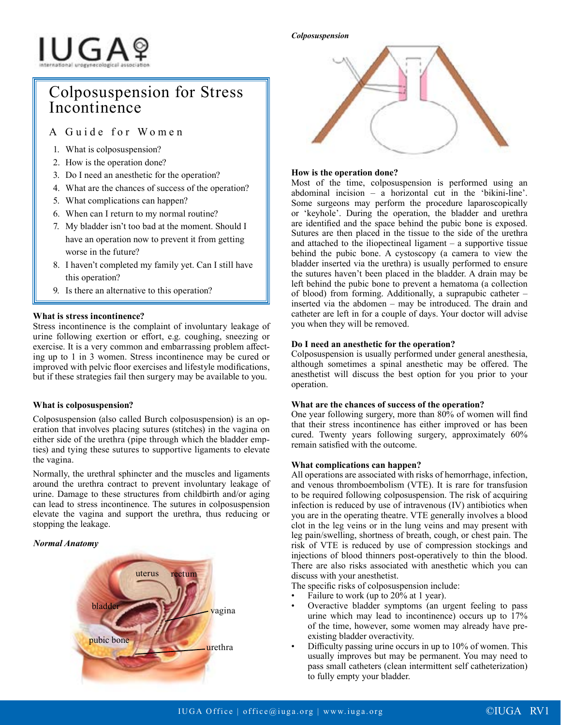#### *Colposuspension*

# IUGAº

# Colposuspension for Stress Incontinence

# A Guide for Women

- 1. What is colposuspension?
- 2. How is the operation done?
- 3. Do I need an anesthetic for the operation?
- 4. What are the chances of success of the operation?
- 5. What complications can happen?
- 6. When can I return to my normal routine?
- 7. My bladder isn't too bad at the moment. Should I have an operation now to prevent it from getting worse in the future?
- 8. I haven't completed my family yet. Can I still have this operation?
- 9. Is there an alternative to this operation?

#### **What is stress incontinence?**

Stress incontinence is the complaint of involuntary leakage of urine following exertion or effort, e.g. coughing, sneezing or exercise. It is a very common and embarrassing problem affecting up to 1 in 3 women. Stress incontinence may be cured or improved with pelvic floor exercises and lifestyle modifications, but if these strategies fail then surgery may be available to you.

# **What is colposuspension?**

Colposuspension (also called Burch colposuspension) is an operation that involves placing sutures (stitches) in the vagina on either side of the urethra (pipe through which the bladder empties) and tying these sutures to supportive ligaments to elevate the vagina.

Normally, the urethral sphincter and the muscles and ligaments around the urethra contract to prevent involuntary leakage of urine. Damage to these structures from childbirth and/or aging can lead to stress incontinence. The sutures in colposuspension elevate the vagina and support the urethra, thus reducing or stopping the leakage.

#### *Normal Anatomy*





## **How is the operation done?**

Most of the time, colposuspension is performed using an abdominal incision – a horizontal cut in the 'bikini-line'. Some surgeons may perform the procedure laparoscopically or 'keyhole'. During the operation, the bladder and urethra are identified and the space behind the pubic bone is exposed. Sutures are then placed in the tissue to the side of the urethra and attached to the iliopectineal ligament – a supportive tissue behind the pubic bone. A cystoscopy (a camera to view the bladder inserted via the urethra) is usually performed to ensure the sutures haven't been placed in the bladder. A drain may be left behind the pubic bone to prevent a hematoma (a collection of blood) from forming. Additionally, a suprapubic catheter – inserted via the abdomen – may be introduced. The drain and catheter are left in for a couple of days. Your doctor will advise you when they will be removed.

## **Do I need an anesthetic for the operation?**

Colposuspension is usually performed under general anesthesia, although sometimes a spinal anesthetic may be offered. The anesthetist will discuss the best option for you prior to your operation.

#### **What are the chances of success of the operation?**

One year following surgery, more than 80% of women will find that their stress incontinence has either improved or has been cured. Twenty years following surgery, approximately 60% remain satisfied with the outcome.

#### **What complications can happen?**

All operations are associated with risks of hemorrhage, infection, and venous thromboembolism (VTE). It is rare for transfusion to be required following colposuspension. The risk of acquiring infection is reduced by use of intravenous (IV) antibiotics when you are in the operating theatre. VTE generally involves a blood clot in the leg veins or in the lung veins and may present with leg pain/swelling, shortness of breath, cough, or chest pain. The risk of VTE is reduced by use of compression stockings and injections of blood thinners post-operatively to thin the blood. There are also risks associated with anesthetic which you can discuss with your anesthetist.

The specific risks of colposuspension include:

- Failure to work (up to 20% at 1 year).
- Overactive bladder symptoms (an urgent feeling to pass urine which may lead to incontinence) occurs up to 17% of the time, however, some women may already have preexisting bladder overactivity.
- Difficulty passing urine occurs in up to 10% of women. This usually improves but may be permanent. You may need to pass small catheters (clean intermittent self catheterization) to fully empty your bladder.